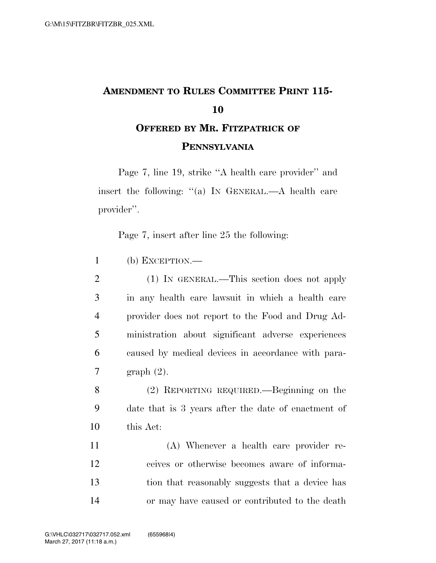## **AMENDMENT TO RULES COMMITTEE PRINT 115- 10 OFFERED BY MR. FITZPATRICK OF**

## **PENNSYLVANIA**

Page 7, line 19, strike ''A health care provider'' and insert the following: "(a) In GENERAL.—A health care provider''.

Page 7, insert after line 25 the following:

1 (b) EXCEPTION.—

 (1) IN GENERAL.—This section does not apply in any health care lawsuit in which a health care provider does not report to the Food and Drug Ad- ministration about significant adverse experiences caused by medical devices in accordance with para-graph (2).

8 (2) REPORTING REQUIRED.—Beginning on the 9 date that is 3 years after the date of enactment of 10 this Act:

 (A) Whenever a health care provider re- ceives or otherwise becomes aware of informa- tion that reasonably suggests that a device has or may have caused or contributed to the death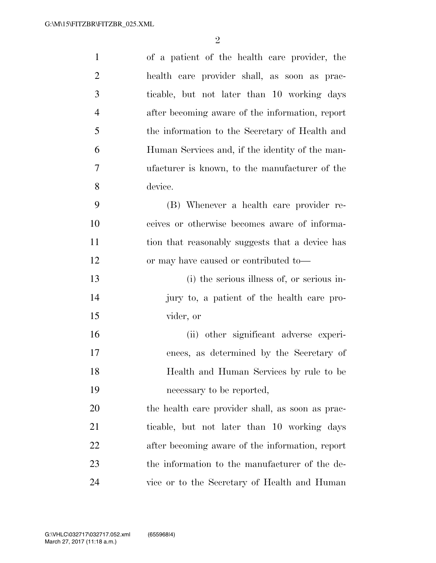| $\mathbf{1}$   | of a patient of the health care provider, the    |
|----------------|--------------------------------------------------|
| $\overline{2}$ | health care provider shall, as soon as prac-     |
| 3              | ticable, but not later than 10 working days      |
| $\overline{4}$ | after becoming aware of the information, report  |
| 5              | the information to the Secretary of Health and   |
| 6              | Human Services and, if the identity of the man-  |
| $\tau$         | ufacturer is known, to the manufacturer of the   |
| 8              | device.                                          |
| 9              | (B) Whenever a health care provider re-          |
| 10             | ceives or otherwise becomes aware of informa-    |
| 11             | tion that reasonably suggests that a device has  |
| 12             | or may have caused or contributed to—            |
| 13             | (i) the serious illness of, or serious in-       |
| 14             | jury to, a patient of the health care pro-       |
| 15             | vider, or                                        |
| 16             | (ii) other significant adverse experi-           |
| 17             | ences, as determined by the Secretary of         |
| 18             | Health and Human Services by rule to be          |
| 19             | necessary to be reported,                        |
| 20             | the health care provider shall, as soon as prac- |
| 21             | ticable, but not later than 10 working days      |
| 22             | after becoming aware of the information, report  |
| 23             | the information to the manufacturer of the de-   |
| 24             | vice or to the Secretary of Health and Human     |
|                |                                                  |